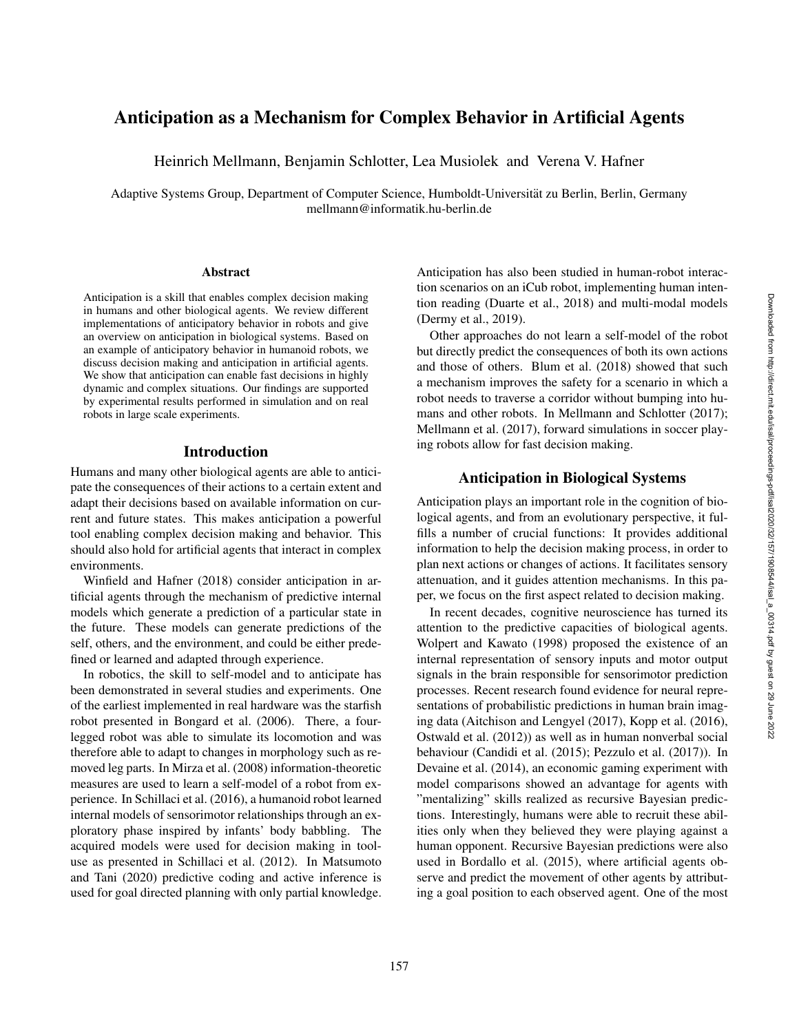# Anticipation as a Mechanism for Complex Behavior in Artificial Agents

Heinrich Mellmann, Benjamin Schlotter, Lea Musiolek and Verena V. Hafner

Adaptive Systems Group, Department of Computer Science, Humboldt-Universitat zu Berlin, Berlin, Germany ¨ mellmann@informatik.hu-berlin.de

#### Abstract

Anticipation is a skill that enables complex decision making in humans and other biological agents. We review different implementations of anticipatory behavior in robots and give an overview on anticipation in biological systems. Based on an example of anticipatory behavior in humanoid robots, we discuss decision making and anticipation in artificial agents. We show that anticipation can enable fast decisions in highly dynamic and complex situations. Our findings are supported by experimental results performed in simulation and on real robots in large scale experiments.

## Introduction

Humans and many other biological agents are able to anticipate the consequences of their actions to a certain extent and adapt their decisions based on available information on current and future states. This makes anticipation a powerful tool enabling complex decision making and behavior. This should also hold for artificial agents that interact in complex environments.

Winfield and Hafner (2018) consider anticipation in artificial agents through the mechanism of predictive internal models which generate a prediction of a particular state in the future. These models can generate predictions of the self, others, and the environment, and could be either predefined or learned and adapted through experience.

In robotics, the skill to self-model and to anticipate has been demonstrated in several studies and experiments. One of the earliest implemented in real hardware was the starfish robot presented in Bongard et al. (2006). There, a fourlegged robot was able to simulate its locomotion and was therefore able to adapt to changes in morphology such as removed leg parts. In Mirza et al. (2008) information-theoretic measures are used to learn a self-model of a robot from experience. In Schillaci et al. (2016), a humanoid robot learned internal models of sensorimotor relationships through an exploratory phase inspired by infants' body babbling. The acquired models were used for decision making in tooluse as presented in Schillaci et al. (2012). In Matsumoto and Tani (2020) predictive coding and active inference is used for goal directed planning with only partial knowledge.

Anticipation has also been studied in human-robot interaction scenarios on an iCub robot, implementing human intention reading (Duarte et al., 2018) and multi-modal models (Dermy et al., 2019).

Other approaches do not learn a self-model of the robot but directly predict the consequences of both its own actions and those of others. Blum et al. (2018) showed that such a mechanism improves the safety for a scenario in which a robot needs to traverse a corridor without bumping into humans and other robots. In Mellmann and Schlotter (2017); Mellmann et al. (2017), forward simulations in soccer playing robots allow for fast decision making.

### Anticipation in Biological Systems

Anticipation plays an important role in the cognition of biological agents, and from an evolutionary perspective, it fulfills a number of crucial functions: It provides additional information to help the decision making process, in order to plan next actions or changes of actions. It facilitates sensory attenuation, and it guides attention mechanisms. In this paper, we focus on the first aspect related to decision making.

In recent decades, cognitive neuroscience has turned its attention to the predictive capacities of biological agents. Wolpert and Kawato (1998) proposed the existence of an internal representation of sensory inputs and motor output signals in the brain responsible for sensorimotor prediction processes. Recent research found evidence for neural representations of probabilistic predictions in human brain imaging data (Aitchison and Lengyel (2017), Kopp et al. (2016), Ostwald et al. (2012)) as well as in human nonverbal social behaviour (Candidi et al. (2015); Pezzulo et al. (2017)). In Devaine et al. (2014), an economic gaming experiment with model comparisons showed an advantage for agents with "mentalizing" skills realized as recursive Bayesian predictions. Interestingly, humans were able to recruit these abilities only when they believed they were playing against a human opponent. Recursive Bayesian predictions were also used in Bordallo et al. (2015), where artificial agents observe and predict the movement of other agents by attributing a goal position to each observed agent. One of the most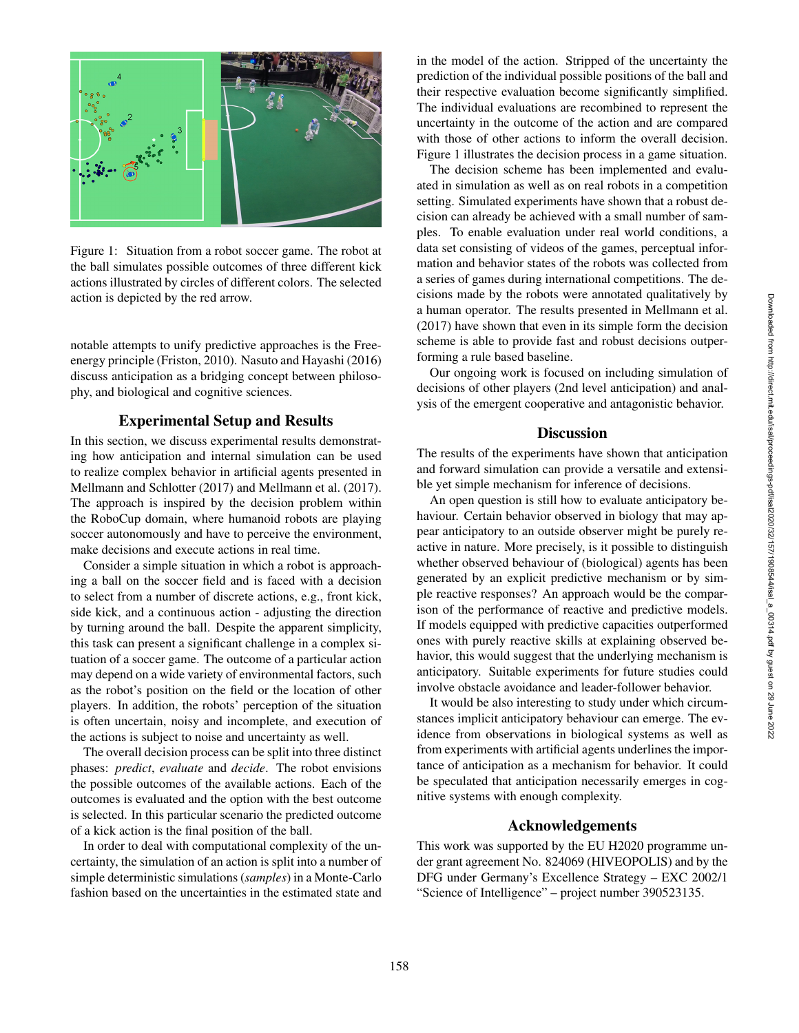

Figure 1: Situation from a robot soccer game. The robot at the ball simulates possible outcomes of three different kick actions illustrated by circles of different colors. The selected action is depicted by the red arrow.

notable attempts to unify predictive approaches is the Freeenergy principle (Friston, 2010). Nasuto and Hayashi (2016) discuss anticipation as a bridging concept between philosophy, and biological and cognitive sciences.

## Experimental Setup and Results

In this section, we discuss experimental results demonstrating how anticipation and internal simulation can be used to realize complex behavior in artificial agents presented in Mellmann and Schlotter (2017) and Mellmann et al. (2017). The approach is inspired by the decision problem within the RoboCup domain, where humanoid robots are playing soccer autonomously and have to perceive the environment, make decisions and execute actions in real time.

Consider a simple situation in which a robot is approaching a ball on the soccer field and is faced with a decision to select from a number of discrete actions, e.g., front kick, side kick, and a continuous action - adjusting the direction by turning around the ball. Despite the apparent simplicity, this task can present a significant challenge in a complex situation of a soccer game. The outcome of a particular action may depend on a wide variety of environmental factors, such as the robot's position on the field or the location of other players. In addition, the robots' perception of the situation is often uncertain, noisy and incomplete, and execution of the actions is subject to noise and uncertainty as well.

The overall decision process can be split into three distinct phases: *predict* , *evaluate* and *decide*. The robot envisions the possible outcomes of the available actions. Each of the outcomes is evaluated and the option with the best outcome is selected. In this particular scenario the predicted outcome of a kick action is the final position of the ball.

In order to deal with computational complexity of the uncertainty, the simulation of an action is split into a number of simple deterministic simulations (*samples*) in a Monte-Carlo fashion based on the uncertainties in the estimated state and

in the model of the action. Stripped of the uncertainty the prediction of the individual possible positions of the ball and their respective evaluation become significantly simplified. The individual evaluations are recombined to represent the uncertainty in the outcome of the action and are compared with those of other actions to inform the overall decision. Figure 1 illustrates the decision process in a game situation.

The decision scheme has been implemented and evaluated in simulation as well as on real robots in a competition setting. Simulated experiments have shown that a robust decision can already be achieved with a small number of samples. To enable evaluation under real world conditions, a data set consisting of videos of the games, perceptual information and behavior states of the robots was collected from a series of games during international competitions. The decisions made by the robots were annotated qualitatively by a human operator. The results presented in Mellmann et al. (2017) have shown that even in its simple form the decision scheme is able to provide fast and robust decisions outperforming a rule based baseline.

Our ongoing work is focused on including simulation of decisions of other players (2nd level anticipation) and analysis of the emergent cooperative and antagonistic behavior.

#### **Discussion**

The results of the experiments have shown that anticipation and forward simulation can provide a versatile and extensible yet simple mechanism for inference of decisions.

An open question is still how to evaluate anticipatory behaviour. Certain behavior observed in biology that may appear anticipatory to an outside observer might be purely reactive in nature. More precisely, is it possible to distinguish whether observed behaviour of (biological) agents has been generated by an explicit predictive mechanism or by simple reactive responses? An approach would be the comparison of the performance of reactive and predictive models. If models equipped with predictive capacities outperformed ones with purely reactive skills at explaining observed behavior, this would suggest that the underlying mechanism is anticipatory. Suitable experiments for future studies could involve obstacle avoidance and leader-follower behavior.

It would be also interesting to study under which circumstances implicit anticipatory behaviour can emerge. The evidence from observations in biological systems as well as from experiments with artificial agents underlines the importance of anticipation as a mechanism for behavior. It could be speculated that anticipation necessarily emerges in cognitive systems with enough complexity.

### Acknowledgements

This work was supported by the EU H2020 programme under grant agreement No. 824069 (HIVEOPOLIS) and by the DFG under Germany's Excellence Strategy – EXC 2002/1 "Science of Intelligence" – project number 390523135.